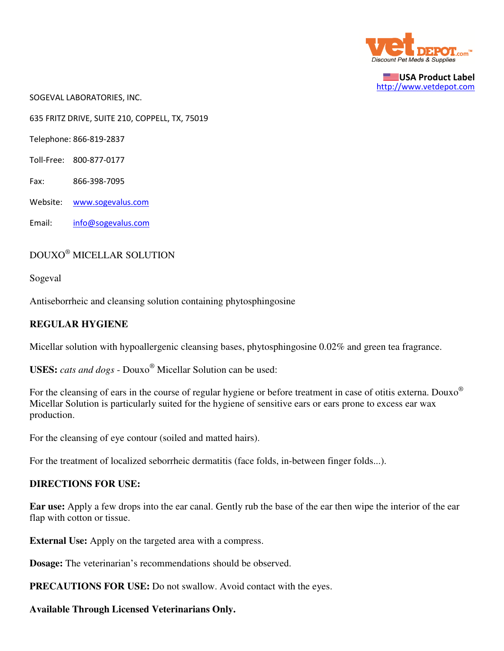

USA Product Label http://www.vetdepot.com

SOGEVAL LABORATORIES, INC.

635 FRITZ DRIVE, SUITE 210, COPPELL, TX, 75019

Telephone: 866-819-2837

- Toll-Free: 800-877-0177
- Fax: 866-398-7095
- Website: www.sogevalus.com
- Email: info@sogevalus.com

## DOUXO® MICELLAR SOLUTION

Sogeval

Antiseborrheic and cleansing solution containing phytosphingosine

#### **REGULAR HYGIENE**

Micellar solution with hypoallergenic cleansing bases, phytosphingosine 0.02% and green tea fragrance.

**USES:** *cats and dogs* - Douxo® Micellar Solution can be used:

For the cleansing of ears in the course of regular hygiene or before treatment in case of otitis externa. Douxo<sup>®</sup> Micellar Solution is particularly suited for the hygiene of sensitive ears or ears prone to excess ear wax production.

For the cleansing of eye contour (soiled and matted hairs).

For the treatment of localized seborrheic dermatitis (face folds, in-between finger folds...).

### **DIRECTIONS FOR USE:**

**Ear use:** Apply a few drops into the ear canal. Gently rub the base of the ear then wipe the interior of the ear flap with cotton or tissue.

**External Use:** Apply on the targeted area with a compress.

**Dosage:** The veterinarian's recommendations should be observed.

**PRECAUTIONS FOR USE:** Do not swallow. Avoid contact with the eyes.

#### **Available Through Licensed Veterinarians Only.**